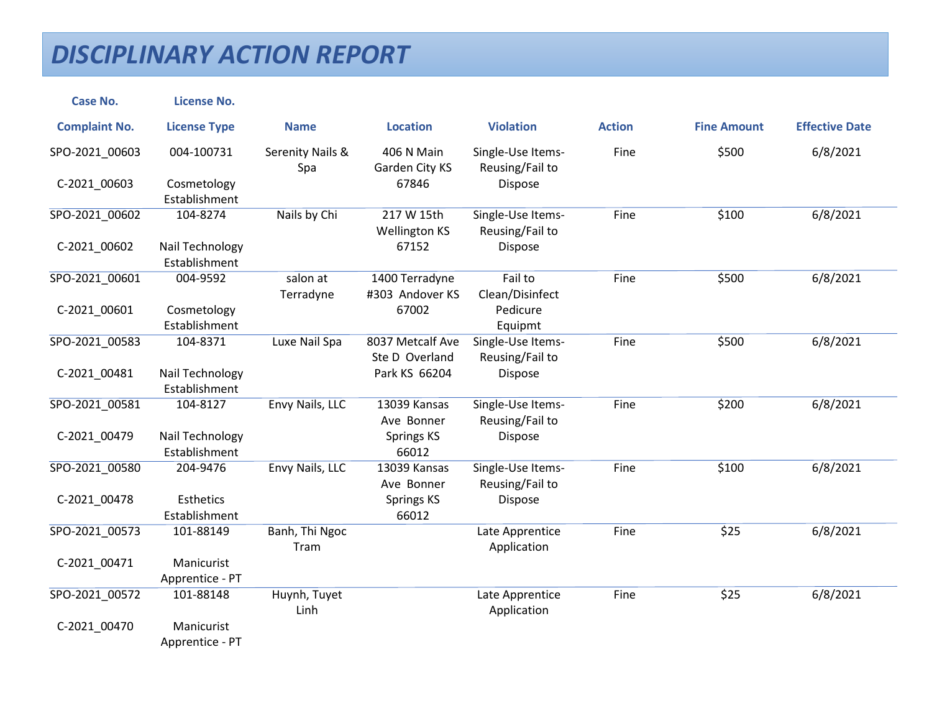| <b>Case No.</b>      | <b>License No.</b>               |                         |                                    |                                      |               |                    |                       |
|----------------------|----------------------------------|-------------------------|------------------------------------|--------------------------------------|---------------|--------------------|-----------------------|
| <b>Complaint No.</b> | <b>License Type</b>              | <b>Name</b>             | <b>Location</b>                    | <b>Violation</b>                     | <b>Action</b> | <b>Fine Amount</b> | <b>Effective Date</b> |
| SPO-2021_00603       | 004-100731                       | Serenity Nails &<br>Spa | 406 N Main<br>Garden City KS       | Single-Use Items-<br>Reusing/Fail to | Fine          | \$500              | 6/8/2021              |
| C-2021_00603         | Cosmetology<br>Establishment     |                         | 67846                              | Dispose                              |               |                    |                       |
| SPO-2021_00602       | 104-8274                         | Nails by Chi            | 217 W 15th<br><b>Wellington KS</b> | Single-Use Items-<br>Reusing/Fail to | Fine          | \$100              | 6/8/2021              |
| C-2021_00602         | Nail Technology<br>Establishment |                         | 67152                              | Dispose                              |               |                    |                       |
| SPO-2021 00601       | 004-9592                         | salon at<br>Terradyne   | 1400 Terradyne<br>#303 Andover KS  | Fail to<br>Clean/Disinfect           | Fine          | \$500              | 6/8/2021              |
| C-2021_00601         | Cosmetology<br>Establishment     |                         | 67002                              | Pedicure<br>Equipmt                  |               |                    |                       |
| SPO-2021 00583       | 104-8371                         | Luxe Nail Spa           | 8037 Metcalf Ave<br>Ste D Overland | Single-Use Items-<br>Reusing/Fail to | Fine          | \$500              | 6/8/2021              |
| C-2021_00481         | Nail Technology<br>Establishment |                         | Park KS 66204                      | Dispose                              |               |                    |                       |
| SPO-2021_00581       | 104-8127                         | Envy Nails, LLC         | 13039 Kansas<br>Ave Bonner         | Single-Use Items-<br>Reusing/Fail to | Fine          | \$200              | 6/8/2021              |
| C-2021_00479         | Nail Technology<br>Establishment |                         | <b>Springs KS</b><br>66012         | Dispose                              |               |                    |                       |
| SPO-2021 00580       | 204-9476                         | Envy Nails, LLC         | 13039 Kansas<br>Ave Bonner         | Single-Use Items-<br>Reusing/Fail to | Fine          | \$100              | 6/8/2021              |
| C-2021_00478         | Esthetics<br>Establishment       |                         | Springs KS<br>66012                | Dispose                              |               |                    |                       |
| SPO-2021 00573       | 101-88149                        | Banh, Thi Ngoc<br>Tram  |                                    | Late Apprentice<br>Application       | Fine          | \$25               | 6/8/2021              |
| C-2021_00471         | Manicurist<br>Apprentice - PT    |                         |                                    |                                      |               |                    |                       |
| SPO-2021_00572       | 101-88148                        | Huynh, Tuyet<br>Linh    |                                    | Late Apprentice<br>Application       | Fine          | \$25               | 6/8/2021              |
| C-2021_00470         | Manicurist<br>Apprentice - PT    |                         |                                    |                                      |               |                    |                       |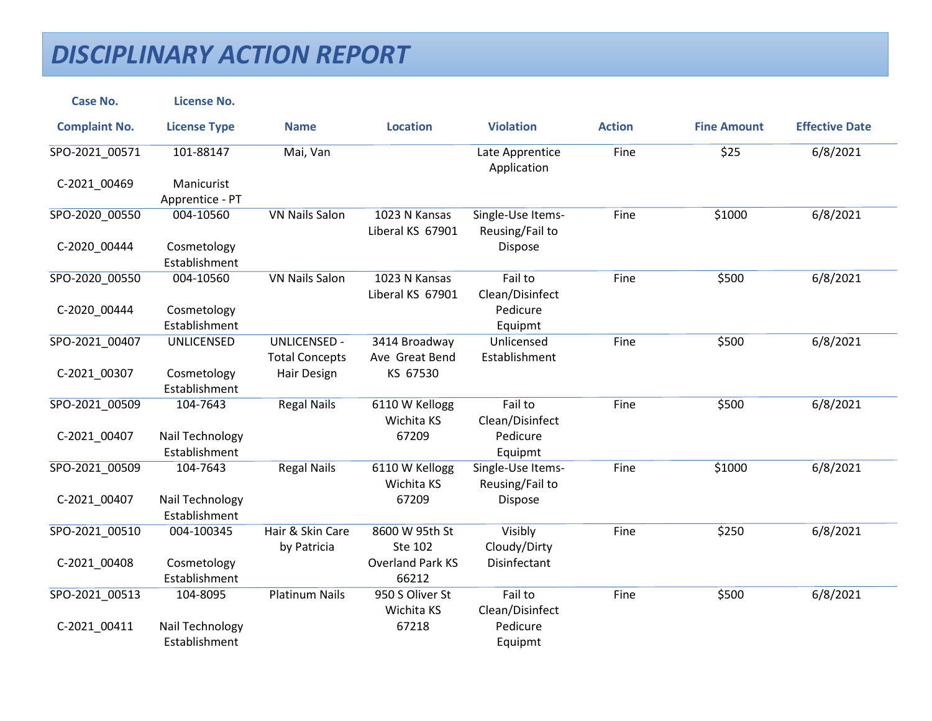| <b>Case No.</b>      | <b>License No.</b>               |                                              |                                   |                                      |               |                    |                       |
|----------------------|----------------------------------|----------------------------------------------|-----------------------------------|--------------------------------------|---------------|--------------------|-----------------------|
| <b>Complaint No.</b> | <b>License Type</b>              | <b>Name</b>                                  | <b>Location</b>                   | <b>Violation</b>                     | <b>Action</b> | <b>Fine Amount</b> | <b>Effective Date</b> |
| SPO-2021_00571       | 101-88147                        | Mai, Van                                     |                                   | Late Apprentice<br>Application       | Fine          | \$25               | 6/8/2021              |
| C-2021 00469         | Manicurist                       |                                              |                                   |                                      |               |                    |                       |
|                      | Apprentice - PT                  |                                              |                                   |                                      |               |                    |                       |
| SPO-2020 00550       | 004-10560                        | <b>VN Nails Salon</b>                        | 1023 N Kansas<br>Liberal KS 67901 | Single-Use Items-<br>Reusing/Fail to | Fine          | \$1000             | 6/8/2021              |
| C-2020_00444         | Cosmetology<br>Establishment     |                                              |                                   | Dispose                              |               |                    |                       |
| SPO-2020_00550       | 004-10560                        | <b>VN Nails Salon</b>                        | 1023 N Kansas<br>Liberal KS 67901 | Fail to<br>Clean/Disinfect           | Fine          | \$500              | 6/8/2021              |
| C-2020_00444         | Cosmetology<br>Establishment     |                                              |                                   | Pedicure<br>Equipmt                  |               |                    |                       |
| SPO-2021 00407       | <b>UNLICENSED</b>                | <b>UNLICENSED -</b><br><b>Total Concepts</b> | 3414 Broadway<br>Ave Great Bend   | Unlicensed<br>Establishment          | Fine          | \$500              | 6/8/2021              |
| C-2021_00307         | Cosmetology<br>Establishment     | Hair Design                                  | KS 67530                          |                                      |               |                    |                       |
| SPO-2021_00509       | 104-7643                         | <b>Regal Nails</b>                           | 6110 W Kellogg<br>Wichita KS      | Fail to<br>Clean/Disinfect           | Fine          | \$500              | 6/8/2021              |
| C-2021_00407         | Nail Technology<br>Establishment |                                              | 67209                             | Pedicure<br>Equipmt                  |               |                    |                       |
| SPO-2021 00509       | 104-7643                         | <b>Regal Nails</b>                           | 6110 W Kellogg<br>Wichita KS      | Single-Use Items-<br>Reusing/Fail to | Fine          | \$1000             | 6/8/2021              |
| C-2021_00407         | Nail Technology<br>Establishment |                                              | 67209                             | Dispose                              |               |                    |                       |
| SPO-2021 00510       | 004-100345                       | Hair & Skin Care<br>by Patricia              | 8600 W 95th St<br>Ste 102         | Visibly<br>Cloudy/Dirty              | Fine          | \$250              | 6/8/2021              |
| C-2021_00408         | Cosmetology<br>Establishment     |                                              | <b>Overland Park KS</b><br>66212  | Disinfectant                         |               |                    |                       |
| SPO-2021 00513       | 104-8095                         | <b>Platinum Nails</b>                        | 950 S Oliver St<br>Wichita KS     | Fail to<br>Clean/Disinfect           | Fine          | \$500              | 6/8/2021              |
| C-2021_00411         | Nail Technology<br>Establishment |                                              | 67218                             | Pedicure<br>Equipmt                  |               |                    |                       |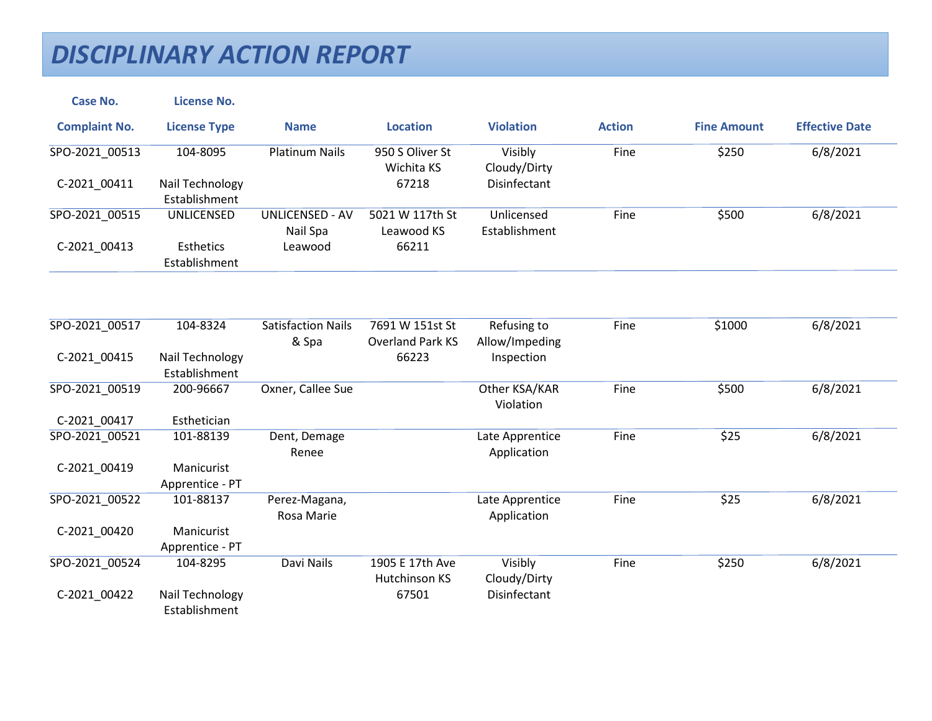| <b>Case No.</b>      | <b>License No.</b>                                       |                                    |                                  |                                |               |                    |                       |
|----------------------|----------------------------------------------------------|------------------------------------|----------------------------------|--------------------------------|---------------|--------------------|-----------------------|
| <b>Complaint No.</b> | <b>License Type</b>                                      | <b>Name</b>                        | <b>Location</b>                  | <b>Violation</b>               | <b>Action</b> | <b>Fine Amount</b> | <b>Effective Date</b> |
| SPO-2021_00513       | 104-8095                                                 | <b>Platinum Nails</b>              | 950 S Oliver St<br>Wichita KS    | Visibly<br>Cloudy/Dirty        | Fine          | \$250              | 6/8/2021              |
| C-2021_00411         | Nail Technology<br>Establishment                         |                                    | 67218                            | Disinfectant                   |               |                    |                       |
| SPO-2021 00515       | UNLICENSED                                               | <b>UNLICENSED - AV</b><br>Nail Spa | 5021 W 117th St<br>Leawood KS    | Unlicensed<br>Establishment    | Fine          | \$500              | 6/8/2021              |
| C-2021_00413         | Esthetics<br>Establishment                               | Leawood                            | 66211                            |                                |               |                    |                       |
| SPO-2021 00517       | 104-8324                                                 | <b>Satisfaction Nails</b>          | 7691 W 151st St                  | Refusing to                    | Fine          | \$1000             | 6/8/2021              |
|                      |                                                          | & Spa                              | <b>Overland Park KS</b>          | Allow/Impeding                 |               |                    |                       |
| C-2021_00415         | Nail Technology<br>Establishment                         |                                    | 66223                            | Inspection                     |               |                    |                       |
| SPO-2021 00519       | 200-96667                                                | Oxner, Callee Sue                  |                                  | Other KSA/KAR<br>Violation     | Fine          | \$500              | 6/8/2021              |
| C-2021_00417         | Esthetician                                              |                                    |                                  |                                |               |                    |                       |
| SPO-2021 00521       | 101-88139                                                | Dent, Demage<br>Renee              |                                  | Late Apprentice<br>Application | Fine          | \$25               | 6/8/2021              |
| C-2021_00419         | Manicurist<br>Apprentice - PT                            |                                    |                                  |                                |               |                    |                       |
| SPO-2021 00522       | 101-88137                                                | Perez-Magana,<br>Rosa Marie        |                                  | Late Apprentice<br>Application | Fine          | \$25               | 6/8/2021              |
| C-2021 00420         | Manicurist<br>Apprentice - PT                            |                                    |                                  |                                |               |                    |                       |
| SPO-2021_00524       | 104-8295                                                 | Davi Nails                         | 1905 E 17th Ave<br>Hutchinson KS | Visibly<br>Cloudy/Dirty        | Fine          | \$250              | 6/8/2021              |
| C-2021 00422         | Nail Technology<br>بالمستور والمساوية المناسبة والمستنبذ |                                    | 67501                            | Disinfectant                   |               |                    |                       |

Establishment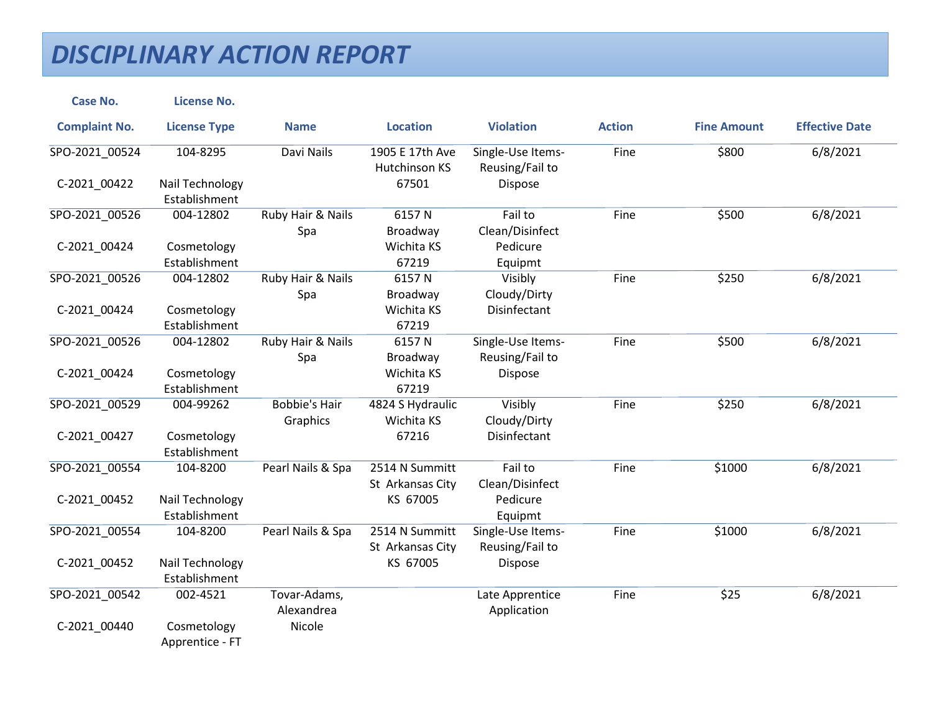| <b>Case No.</b>      | <b>License No.</b>               |                                  |                                         |                                      |               |                    |                       |
|----------------------|----------------------------------|----------------------------------|-----------------------------------------|--------------------------------------|---------------|--------------------|-----------------------|
| <b>Complaint No.</b> | <b>License Type</b>              | <b>Name</b>                      | <b>Location</b>                         | <b>Violation</b>                     | <b>Action</b> | <b>Fine Amount</b> | <b>Effective Date</b> |
| SPO-2021_00524       | 104-8295                         | Davi Nails                       | 1905 E 17th Ave<br><b>Hutchinson KS</b> | Single-Use Items-<br>Reusing/Fail to | Fine          | \$800              | 6/8/2021              |
| C-2021_00422         | Nail Technology<br>Establishment |                                  | 67501                                   | Dispose                              |               |                    |                       |
| SPO-2021_00526       | 004-12802                        | Ruby Hair & Nails<br>Spa         | 6157N<br>Broadway                       | Fail to<br>Clean/Disinfect           | Fine          | \$500              | 6/8/2021              |
| C-2021_00424         | Cosmetology<br>Establishment     |                                  | Wichita KS<br>67219                     | Pedicure<br>Equipmt                  |               |                    |                       |
| SPO-2021_00526       | 004-12802                        | Ruby Hair & Nails<br>Spa         | 6157N<br>Broadway                       | Visibly<br>Cloudy/Dirty              | Fine          | \$250              | 6/8/2021              |
| C-2021_00424         | Cosmetology<br>Establishment     |                                  | Wichita KS<br>67219                     | Disinfectant                         |               |                    |                       |
| SPO-2021_00526       | 004-12802                        | Ruby Hair & Nails<br>Spa         | 6157N<br>Broadway                       | Single-Use Items-<br>Reusing/Fail to | Fine          | \$500              | 6/8/2021              |
| C-2021 00424         | Cosmetology<br>Establishment     |                                  | Wichita KS<br>67219                     | Dispose                              |               |                    |                       |
| SPO-2021_00529       | 004-99262                        | <b>Bobbie's Hair</b><br>Graphics | 4824 S Hydraulic<br>Wichita KS          | Visibly<br>Cloudy/Dirty              | Fine          | \$250              | 6/8/2021              |
| C-2021 00427         | Cosmetology<br>Establishment     |                                  | 67216                                   | Disinfectant                         |               |                    |                       |
| SPO-2021_00554       | 104-8200                         | Pearl Nails & Spa                | 2514 N Summitt<br>St Arkansas City      | Fail to<br>Clean/Disinfect           | Fine          | \$1000             | 6/8/2021              |
| C-2021_00452         | Nail Technology<br>Establishment |                                  | KS 67005                                | Pedicure<br>Equipmt                  |               |                    |                       |
| SPO-2021_00554       | 104-8200                         | Pearl Nails & Spa                | 2514 N Summitt<br>St Arkansas City      | Single-Use Items-<br>Reusing/Fail to | Fine          | \$1000             | 6/8/2021              |
| C-2021 00452         | Nail Technology<br>Establishment |                                  | KS 67005                                | Dispose                              |               |                    |                       |
| SPO-2021_00542       | 002-4521                         | Tovar-Adams,<br>Alexandrea       |                                         | Late Apprentice<br>Application       | Fine          | \$25               | 6/8/2021              |
| C-2021 00440         | Cosmetology<br>Apprentice - FT   | Nicole                           |                                         |                                      |               |                    |                       |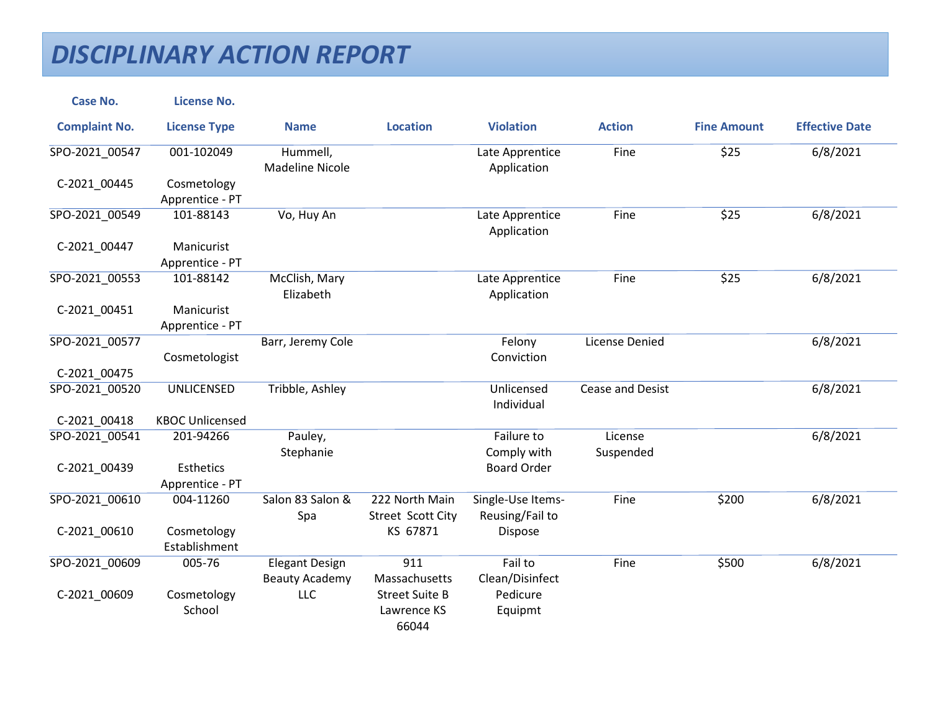| <b>Case No.</b>      | <b>License No.</b>                  |                                                |                                               |                                      |                       |                    |                       |
|----------------------|-------------------------------------|------------------------------------------------|-----------------------------------------------|--------------------------------------|-----------------------|--------------------|-----------------------|
| <b>Complaint No.</b> | <b>License Type</b>                 | <b>Name</b>                                    | <b>Location</b>                               | <b>Violation</b>                     | <b>Action</b>         | <b>Fine Amount</b> | <b>Effective Date</b> |
| SPO-2021_00547       | 001-102049                          | Hummell,<br><b>Madeline Nicole</b>             |                                               | Late Apprentice<br>Application       | Fine                  | \$25               | 6/8/2021              |
| C-2021_00445         | Cosmetology<br>Apprentice - PT      |                                                |                                               |                                      |                       |                    |                       |
| SPO-2021_00549       | 101-88143                           | Vo, Huy An                                     |                                               | Late Apprentice<br>Application       | Fine                  | \$25               | 6/8/2021              |
| C-2021_00447         | Manicurist<br>Apprentice - PT       |                                                |                                               |                                      |                       |                    |                       |
| SPO-2021_00553       | 101-88142                           | McClish, Mary<br>Elizabeth                     |                                               | Late Apprentice<br>Application       | Fine                  | \$25               | 6/8/2021              |
| C-2021 00451         | Manicurist<br>Apprentice - PT       |                                                |                                               |                                      |                       |                    |                       |
| SPO-2021 00577       | Cosmetologist                       | Barr, Jeremy Cole                              |                                               | Felony<br>Conviction                 | <b>License Denied</b> |                    | 6/8/2021              |
| C-2021_00475         |                                     |                                                |                                               |                                      |                       |                    |                       |
| SPO-2021 00520       | <b>UNLICENSED</b>                   | Tribble, Ashley                                |                                               | Unlicensed<br>Individual             | Cease and Desist      |                    | 6/8/2021              |
| C-2021 00418         | <b>KBOC Unlicensed</b>              |                                                |                                               |                                      |                       |                    |                       |
| SPO-2021 00541       | 201-94266                           | Pauley,<br>Stephanie                           |                                               | Failure to<br>Comply with            | License<br>Suspended  |                    | 6/8/2021              |
| C-2021 00439         | <b>Esthetics</b><br>Apprentice - PT |                                                |                                               | <b>Board Order</b>                   |                       |                    |                       |
| SPO-2021 00610       | 004-11260                           | Salon 83 Salon &<br>Spa                        | 222 North Main<br>Street Scott City           | Single-Use Items-<br>Reusing/Fail to | Fine                  | \$200              | 6/8/2021              |
| C-2021_00610         | Cosmetology<br>Establishment        |                                                | KS 67871                                      | Dispose                              |                       |                    |                       |
| SPO-2021_00609       | 005-76                              | <b>Elegant Design</b><br><b>Beauty Academy</b> | 911<br>Massachusetts                          | Fail to<br>Clean/Disinfect           | Fine                  | \$500              | 6/8/2021              |
| C-2021_00609         | Cosmetology<br>School               | LLC                                            | <b>Street Suite B</b><br>Lawrence KS<br>66044 | Pedicure<br>Equipmt                  |                       |                    |                       |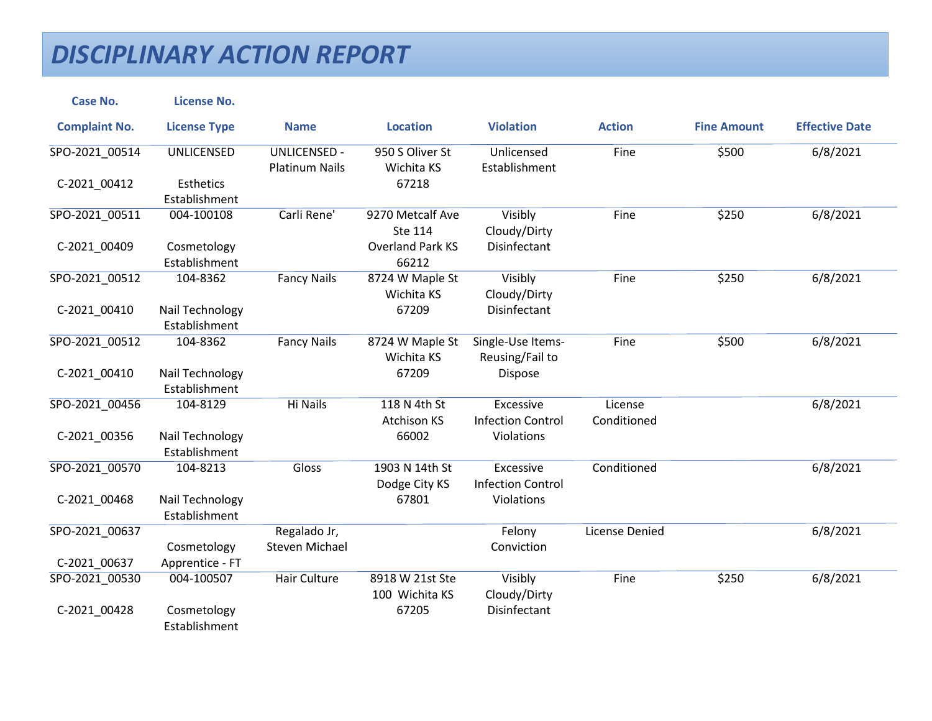| <b>Case No.</b>      | <b>License No.</b>               |                                              |                                    |                                       |                        |                    |                       |
|----------------------|----------------------------------|----------------------------------------------|------------------------------------|---------------------------------------|------------------------|--------------------|-----------------------|
| <b>Complaint No.</b> | <b>License Type</b>              | <b>Name</b>                                  | <b>Location</b>                    | <b>Violation</b>                      | <b>Action</b>          | <b>Fine Amount</b> | <b>Effective Date</b> |
| SPO-2021_00514       | UNLICENSED                       | <b>UNLICENSED -</b><br><b>Platinum Nails</b> | 950 S Oliver St<br>Wichita KS      | Unlicensed<br>Establishment           | Fine                   | \$500              | 6/8/2021              |
| C-2021_00412         | Esthetics<br>Establishment       |                                              | 67218                              |                                       |                        |                    |                       |
| SPO-2021_00511       | 004-100108                       | Carli Rene'                                  | 9270 Metcalf Ave<br>Ste 114        | Visibly<br>Cloudy/Dirty               | Fine                   | \$250              | 6/8/2021              |
| C-2021_00409         | Cosmetology<br>Establishment     |                                              | <b>Overland Park KS</b><br>66212   | Disinfectant                          |                        |                    |                       |
| SPO-2021 00512       | 104-8362                         | <b>Fancy Nails</b>                           | 8724 W Maple St<br>Wichita KS      | Visibly<br>Cloudy/Dirty               | Fine                   | \$250              | 6/8/2021              |
| C-2021 00410         | Nail Technology<br>Establishment |                                              | 67209                              | Disinfectant                          |                        |                    |                       |
| SPO-2021 00512       | 104-8362                         | <b>Fancy Nails</b>                           | 8724 W Maple St<br>Wichita KS      | Single-Use Items-<br>Reusing/Fail to  | Fine                   | \$500              | 6/8/2021              |
| C-2021_00410         | Nail Technology<br>Establishment |                                              | 67209                              | Dispose                               |                        |                    |                       |
| SPO-2021 00456       | 104-8129                         | <b>Hi Nails</b>                              | 118 N 4th St<br><b>Atchison KS</b> | Excessive<br><b>Infection Control</b> | License<br>Conditioned |                    | 6/8/2021              |
| C-2021_00356         | Nail Technology<br>Establishment |                                              | 66002                              | Violations                            |                        |                    |                       |
| SPO-2021 00570       | 104-8213                         | Gloss                                        | 1903 N 14th St<br>Dodge City KS    | Excessive<br><b>Infection Control</b> | Conditioned            |                    | 6/8/2021              |
| C-2021 00468         | Nail Technology<br>Establishment |                                              | 67801                              | Violations                            |                        |                    |                       |
| SPO-2021_00637       |                                  | Regalado Jr,                                 |                                    | Felony                                | License Denied         |                    | 6/8/2021              |
| C-2021_00637         | Cosmetology<br>Apprentice - FT   | <b>Steven Michael</b>                        |                                    | Conviction                            |                        |                    |                       |
| SPO-2021_00530       | 004-100507                       | Hair Culture                                 | 8918 W 21st Ste<br>100 Wichita KS  | Visibly<br>Cloudy/Dirty               | Fine                   | \$250              | 6/8/2021              |
| C-2021_00428         | Cosmetology<br>Establishment     |                                              | 67205                              | Disinfectant                          |                        |                    |                       |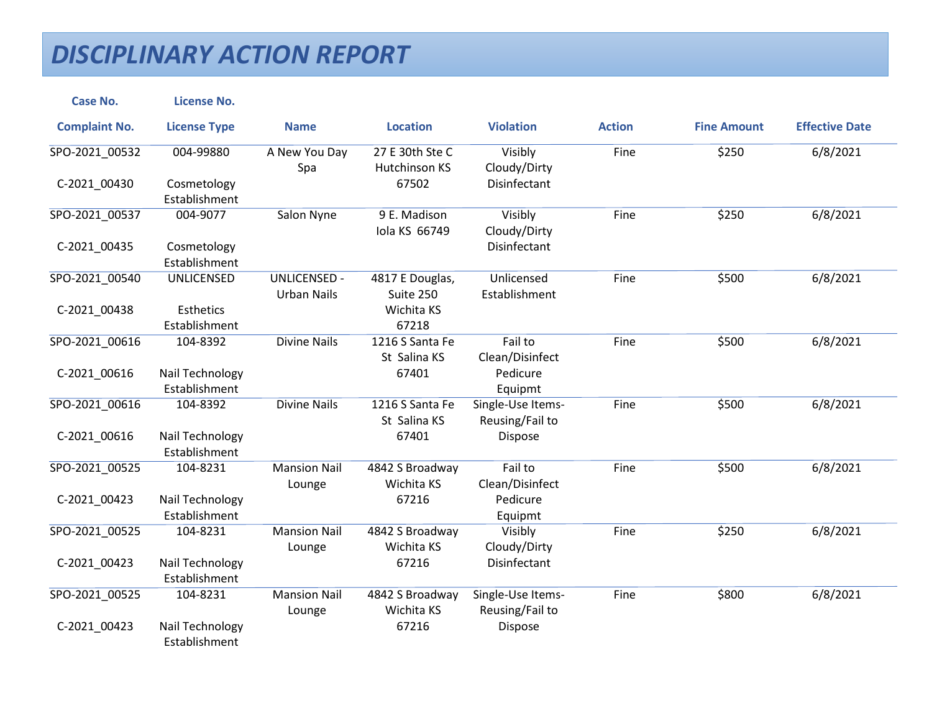| <b>Case No.</b>      | <b>License No.</b>               |                                           |                                  |                                      |               |                    |                       |
|----------------------|----------------------------------|-------------------------------------------|----------------------------------|--------------------------------------|---------------|--------------------|-----------------------|
| <b>Complaint No.</b> | <b>License Type</b>              | <b>Name</b>                               | <b>Location</b>                  | <b>Violation</b>                     | <b>Action</b> | <b>Fine Amount</b> | <b>Effective Date</b> |
| SPO-2021_00532       | 004-99880                        | A New You Day<br>Spa                      | 27 E 30th Ste C<br>Hutchinson KS | Visibly<br>Cloudy/Dirty              | Fine          | \$250              | 6/8/2021              |
| C-2021 00430         | Cosmetology<br>Establishment     |                                           | 67502                            | Disinfectant                         |               |                    |                       |
| SPO-2021 00537       | 004-9077                         | Salon Nyne                                | 9 E. Madison<br>Iola KS 66749    | Visibly<br>Cloudy/Dirty              | Fine          | \$250              | 6/8/2021              |
| C-2021_00435         | Cosmetology<br>Establishment     |                                           |                                  | Disinfectant                         |               |                    |                       |
| SPO-2021_00540       | <b>UNLICENSED</b>                | <b>UNLICENSED -</b><br><b>Urban Nails</b> | 4817 E Douglas,<br>Suite 250     | Unlicensed<br>Establishment          | Fine          | \$500              | 6/8/2021              |
| C-2021_00438         | Esthetics<br>Establishment       |                                           | Wichita KS<br>67218              |                                      |               |                    |                       |
| SPO-2021 00616       | 104-8392                         | <b>Divine Nails</b>                       | 1216 S Santa Fe<br>St Salina KS  | Fail to<br>Clean/Disinfect           | Fine          | \$500              | 6/8/2021              |
| C-2021_00616         | Nail Technology<br>Establishment |                                           | 67401                            | Pedicure<br>Equipmt                  |               |                    |                       |
| SPO-2021_00616       | 104-8392                         | <b>Divine Nails</b>                       | 1216 S Santa Fe<br>St Salina KS  | Single-Use Items-<br>Reusing/Fail to | Fine          | \$500              | 6/8/2021              |
| C-2021_00616         | Nail Technology<br>Establishment |                                           | 67401                            | Dispose                              |               |                    |                       |
| SPO-2021 00525       | 104-8231                         | <b>Mansion Nail</b><br>Lounge             | 4842 S Broadway<br>Wichita KS    | Fail to<br>Clean/Disinfect           | Fine          | \$500              | 6/8/2021              |
| C-2021_00423         | Nail Technology<br>Establishment |                                           | 67216                            | Pedicure<br>Equipmt                  |               |                    |                       |
| SPO-2021 00525       | 104-8231                         | <b>Mansion Nail</b><br>Lounge             | 4842 S Broadway<br>Wichita KS    | Visibly<br>Cloudy/Dirty              | Fine          | \$250              | 6/8/2021              |
| C-2021_00423         | Nail Technology<br>Establishment |                                           | 67216                            | Disinfectant                         |               |                    |                       |
| SPO-2021 00525       | 104-8231                         | <b>Mansion Nail</b><br>Lounge             | 4842 S Broadway<br>Wichita KS    | Single-Use Items-<br>Reusing/Fail to | Fine          | \$800              | 6/8/2021              |
| C-2021_00423         | Nail Technology<br>Establishment |                                           | 67216                            | Dispose                              |               |                    |                       |